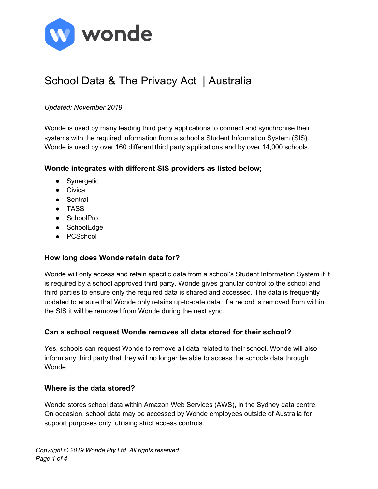

# School Data & The Privacy Act | Australia

#### *Updated: November 2019*

Wonde is used by many leading third party applications to connect and synchronise their systems with the required information from a school's Student Information System (SIS). Wonde is used by over 160 different third party applications and by over 14,000 schools.

#### **Wonde integrates with different SIS providers as listed below;**

- Synergetic
- Civica
- Sentral
- TASS
- SchoolPro
- SchoolEdge
- PCSchool

#### **How long does Wonde retain data for?**

Wonde will only access and retain specific data from a school's Student Information System if it is required by a school approved third party. Wonde gives granular control to the school and third parties to ensure only the required data is shared and accessed. The data is frequently updated to ensure that Wonde only retains up-to-date data. If a record is removed from within the SIS it will be removed from Wonde during the next sync.

# **Can a school request Wonde removes all data stored for their school?**

Yes, schools can request Wonde to remove all data related to their school. Wonde will also inform any third party that they will no longer be able to access the schools data through Wonde.

#### **Where is the data stored?**

Wonde stores school data within Amazon Web Services (AWS), in the Sydney data centre. On occasion, school data may be accessed by Wonde employees outside of Australia for support purposes only, utilising strict access controls.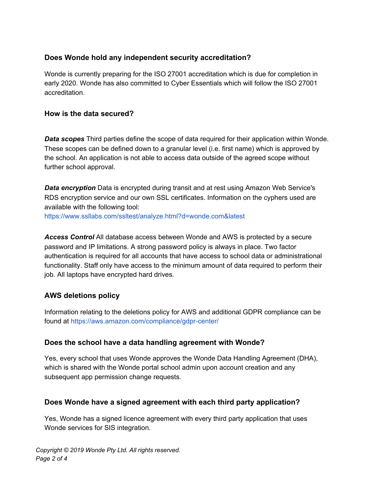# **Does Wonde hold any independent security accreditation?**

Wonde is currently preparing for the ISO 27001 accreditation which is due for completion in early 2020. Wonde has also committed to Cyber Essentials which will follow the ISO 27001 accreditation.

# **How is the data secured?**

*Data scopes* Third parties define the scope of data required for their application within Wonde. These scopes can be defined down to a granular level (i.e. first name) which is approved by the school. An application is not able to access data outside of the agreed scope without further school approval.

*Data encryption* Data is encrypted during transit and at rest using Amazon Web Service's RDS encryption service and our own SSL certificates. Information on the cyphers used are available with the following tool:

https://www.ssllabs.com/ssltest/analyze.html?d=wonde.com&latest

*Access Control* All database access between Wonde and AWS is protected by a secure password and IP limitations. A strong password policy is always in place. Two factor authentication is required for all accounts that have access to school data or administrational functionality. Staff only have access to the minimum amount of data required to perform their job. All laptops have encrypted hard drives.

# **AWS deletions policy**

Information relating to the deletions policy for AWS and additional GDPR compliance can be found at https://aws.amazon.com/compliance/gdpr-center/

# **Does the school have a data handling agreement with Wonde?**

Yes, every school that uses Wonde approves the Wonde Data Handling Agreement (DHA), which is shared with the Wonde portal school admin upon account creation and any subsequent app permission change requests.

# **Does Wonde have a signed agreement with each third party application?**

Yes, Wonde has a signed licence agreement with every third party application that uses Wonde services for SIS integration.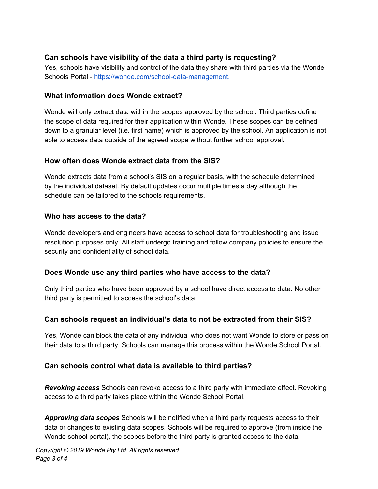# **Can schools have visibility of the data a third party is requesting?**

Yes, schools have visibility and control of the data they share with third parties via the Wonde Schools Portal - [https://wonde.com/school-data-management.](https://wonde.com/school-data-management)

### **What information does Wonde extract?**

Wonde will only extract data within the scopes approved by the school. Third parties define the scope of data required for their application within Wonde. These scopes can be defined down to a granular level (i.e. first name) which is approved by the school. An application is not able to access data outside of the agreed scope without further school approval.

# **How often does Wonde extract data from the SIS?**

Wonde extracts data from a school's SIS on a regular basis, with the schedule determined by the individual dataset. By default updates occur multiple times a day although the schedule can be tailored to the schools requirements.

# **Who has access to the data?**

Wonde developers and engineers have access to school data for troubleshooting and issue resolution purposes only. All staff undergo training and follow company policies to ensure the security and confidentiality of school data.

# **Does Wonde use any third parties who have access to the data?**

Only third parties who have been approved by a school have direct access to data. No other third party is permitted to access the school's data.

# **Can schools request an individual's data to not be extracted from their SIS?**

Yes, Wonde can block the data of any individual who does not want Wonde to store or pass on their data to a third party. Schools can manage this process within the Wonde School Portal.

# **Can schools control what data is available to third parties?**

*Revoking access* Schools can revoke access to a third party with immediate effect. Revoking access to a third party takes place within the Wonde School Portal.

*Approving data scopes* Schools will be notified when a third party requests access to their data or changes to existing data scopes. Schools will be required to approve (from inside the Wonde school portal), the scopes before the third party is granted access to the data.